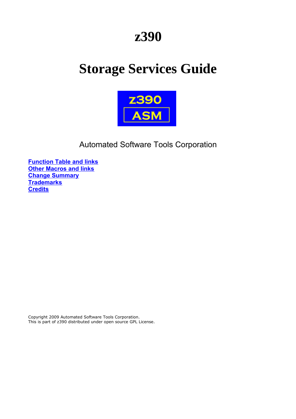## **z390**

# **Storage Services Guide**



### Automated Software Tools Corporation

**[Function Table and links](#page-1-0) [Other Macros and links](#page-1-1) [Change Summary](#page-7-2) [Trademarks](#page-7-1) [Credits](#page-7-0)**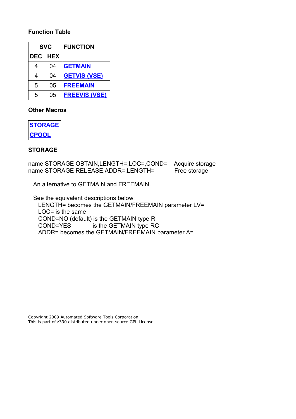#### <span id="page-1-0"></span>**Function Table**

| <b>SVC</b> |                | <b>FUNCTION</b>      |
|------------|----------------|----------------------|
|            | <b>DEC HEX</b> |                      |
| 4          | 04             | <b>GETMAIN</b>       |
| 4          | 04             | <b>GETVIS (VSE)</b>  |
| 5          | 05             | <b>FREEMAIN</b>      |
| 5          | 05             | <b>FREEVIS (VSE)</b> |

#### <span id="page-1-1"></span>**Other Macros**

| <b>STORAGE</b> |
|----------------|
| POO<br>n       |

#### <span id="page-1-2"></span>**STORAGE**

name STORAGE OBTAIN,LENGTH=,LOC=,COND= Acquire storage name STORAGE RELEASE, ADDR=, LENGTH= Free storage

An alternative to GETMAIN and FREEMAIN.

 See the equivalent descriptions below: LENGTH= becomes the GETMAIN/FREEMAIN parameter LV= LOC= is the same COND=NO (default) is the GETMAIN type R COND=YES is the GETMAIN type RC ADDR= becomes the GETMAIN/FREEMAIN parameter A=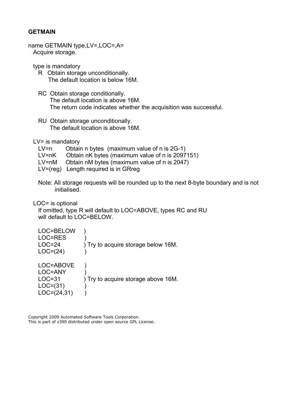#### <span id="page-2-0"></span>**GETMAIN**

```
name GETMAIN type,LV=,LOC=,A=
Acquire storage.
```
type is mandatory

- R Obtain storage unconditionally. The default location is below 16M.
- RC Obtain storage conditionally. The default location is above 16M. The return code indicates whether the acquisition was successful.
- RU Obtain storage unconditionally. The default location is above 16M.

LV= is mandatory

- LV=n Obtain n bytes (maximum value of n is 2G-1)
- LV=nK Obtain nK bytes (maximum value of n is 2097151)
- LV=nM Obtain nM bytes (maximum value of n is 2047)
- LV=(reg) Length required is in GRreg
- Note: All storage requests will be rounded up to the next 8-byte boundary and is not initialised.

LOC= is optional

 If omitted, type R will default to LOC=ABOVE, types RC and RU will default to LOC=BELOW.

| LOC=BELOW<br>LOC=RES<br>$LOC=24$<br>$LOC=(24)$                    | ) Try to acquire storage below 16M. |
|-------------------------------------------------------------------|-------------------------------------|
| LOC=ABOVE<br>LOC=ANY<br>$LOC = 31$<br>$LOC=(31)$<br>$LOC=(24,31)$ | ) Try to acquire storage above 16M. |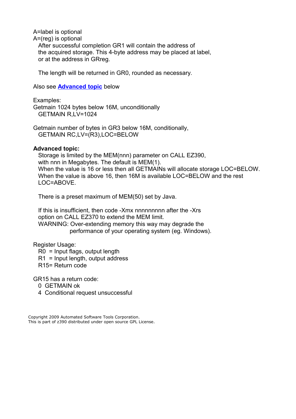A=label is optional

A=(reg) is optional

 After successful completion GR1 will contain the address of the acquired storage. This 4-byte address may be placed at label, or at the address in GRreg.

The length will be returned in GR0, rounded as necessary.

Also see **[Advanced topic](#page-3-0)** below

Examples:

 Getmain 1024 bytes below 16M, unconditionally GETMAIN R,LV=1024

 Getmain number of bytes in GR3 below 16M, conditionally, GETMAIN RC,LV=(R3),LOC=BELOW

#### <span id="page-3-0"></span>**Advanced topic:**

 Storage is limited by the MEM(nnn) parameter on CALL EZ390, with nnn in Megabytes. The default is MEM(1). When the value is 16 or less then all GETMAINs will allocate storage LOC=BELOW. When the value is above 16, then 16M is available LOC=BELOW and the rest LOC=ABOVE.

There is a preset maximum of MEM(50) set by Java.

 If this is insufficient, then code -Xmx nnnnnnnnn after the -Xrs option on CALL EZ370 to extend the MEM limit. WARNING: Over-extending memory this way may degrade the performance of your operating system (eg. Windows).

Register Usage:

R0 = Input flags, output length

R1 = Input length, output address

R15= Return code

GR15 has a return code:

0 GETMAIN ok

4 Conditional request unsuccessful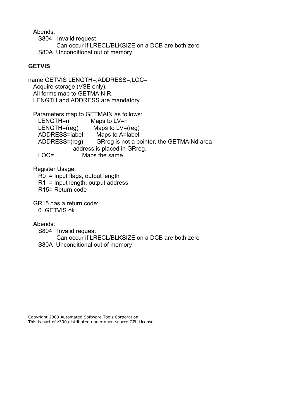Abends:

 S804 Invalid request Can occur if LRECL/BLKSIZE on a DCB are both zero S80A Unconditional out of memory

#### <span id="page-4-0"></span>**GETVIS**

name GETVIS LENGTH=,ADDRESS=,LOC= Acquire storage (VSE only). All forms map to GETMAIN R, LENGTH and ADDRESS are mandatory.

 Parameters map to GETMAIN as follows: LENGTH=n Maps to LV=n LENGTH=(reg) Maps to LV=(reg) ADDRESS=label Maps to A=label ADDRESS=(reg) GRreg is not a pointer, the GETMAINd area address is placed in GRreg. LOC= Maps the same.

Register Usage:

R0 = Input flags, output length

R1 = Input length, output address

R15= Return code

GR15 has a return code:

0 GETVIS ok

Abends:

 S804 Invalid request Can occur if LRECL/BLKSIZE on a DCB are both zero S80A Unconditional out of memory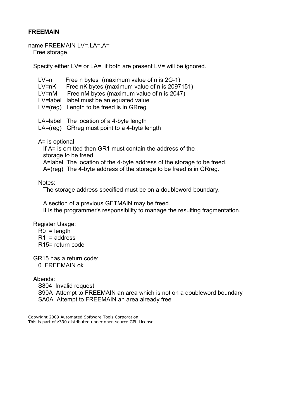#### <span id="page-5-0"></span>**FREEMAIN**

name FREEMAIN LV=,LA=,A= Free storage.

Specify either LV= or LA=, if both are present LV= will be ignored.

| $LV=n$<br>$LV=nK$<br>$LV=nM$ | Free n bytes (maximum value of n is 2G-1)<br>Free nK bytes (maximum value of n is 2097151)<br>Free nM bytes (maximum value of n is 2047)<br>LV=label label must be an equated value<br>$LV=(reg)$ Length to be freed is in GRreg |
|------------------------------|----------------------------------------------------------------------------------------------------------------------------------------------------------------------------------------------------------------------------------|
|                              | LA=label The location of a 4-byte length<br>LA=(reg) GRreg must point to a 4-byte length                                                                                                                                         |

A= is optional

 If A= is omitted then GR1 must contain the address of the storage to be freed. A=label The location of the 4-byte address of the storage to be freed. A=(reg) The 4-byte address of the storage to be freed is in GRreg.

Notes:

The storage address specified must be on a doubleword boundary.

 A section of a previous GETMAIN may be freed. It is the programmer's responsibility to manage the resulting fragmentation.

Register Usage:

- $R0 = lenath$
- $R1$  = address

R15= return code

GR15 has a return code:

0 FREEMAIN ok

Abends:

S804 Invalid request

 S90A Attempt to FREEMAIN an area which is not on a doubleword boundary SA0A Attempt to FREEMAIN an area already free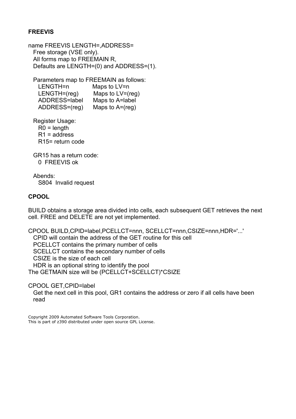#### <span id="page-6-1"></span>**FREEVIS**

name FREEVIS LENGTH=,ADDRESS= Free storage (VSE only). All forms map to FREEMAIN R, Defaults are LENGTH=(0) and ADDRESS=(1).

Parameters map to FREEMAIN as follows:

| LENGTH=n       | Maps to LV=n        |
|----------------|---------------------|
| $LENGTH=(req)$ | Maps to $LV=(reg)$  |
| ADDRESS=label  | Maps to A=label     |
| ADDRESS=(reg)  | Maps to $A = (reg)$ |

Register Usage:

 $R0 = lenath$ 

 $R1$  = address R15= return code

 GR15 has a return code: 0 FREEVIS ok

 Abends: S804 Invalid request

#### <span id="page-6-0"></span>**CPOOL**

BUILD obtains a storage area divided into cells, each subsequent GET retrieves the next cell. FREE and DELETE are not yet implemented.

CPOOL BUILD,CPID=label,PCELLCT=nnn, SCELLCT=nnn,CSIZE=nnn,HDR='...' CPID will contain the address of the GET routine for this cell PCELLCT contains the primary number of cells SCELLCT contains the secondary number of cells CSIZE is the size of each cell HDR is an optional string to identify the pool The GETMAIN size will be (PCELLCT+SCELLCT)\*CSIZE

CPOOL GET,CPID=label

 Get the next cell in this pool, GR1 contains the address or zero if all cells have been read